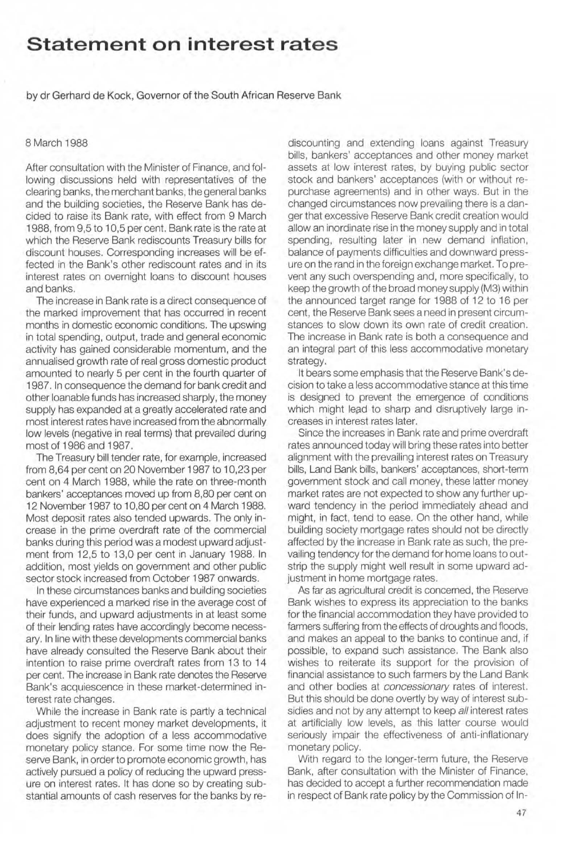## **Statement on interest rates**

by dr Gerhard de Kock, Governor of the South African Reserve Bank

## 8 March 1988

After consultation with the Minister of Finance, and following discussions held with representatives of the clearing banks, the merchant banks, the general banks and the building societies, the Reserve Bank has decided to raise its Bank rate, with effect from 9 March 1988, from 9,5 to 10,5 per cent. Bank rate is the rate at which the Reserve Bank rediscounts Treasury bills for discount houses. Corresponding increases will be effected in the Bank's other rediscount rates and in its interest rates on overnight loans to discount houses and banks.

The increase in Bank rate is a direct consequence of the marked improvement that has occurred in recent months in domestic economic conditions. The upswing in total spending, output, trade and general economic activity has gained considerable momentum, and the annualised growth rate of real gross domestic product amounted to nearly 5 per cent in the fourth quarter of 1987. In consequence the demand for bank credit and other loanable funds has increased sharply, the money supply has expanded at a greatly accelerated rate and most interest rates have increased from the abnormally low levels (negative in real terms) that prevailed during most of 1986 and 1987.

The Treasury bill tender rate, for example, increased from 8,64 per cent on 20 November 1987 to 10,23 per cent on 4 March 1988, while the rate on three-month bankers' acceptances moved up from 8,80 per cent on 12 November 1987 to 10,80 per cent on 4 March 1988. Most deposit rates also tended upwards. The only increase in the prime overdraft rate of the commercial banks during this period was a modest upward adjustment from 12,5 to 13,0 per cent in January 1988. In addition, most yields on government and other public sector stock increased from October 1987 onwards.

In these circumstances banks and building societies have experienced a marked rise in the average cost of their funds, and upward adjustments in at least some of their lending rates have accordingly become necessary. In line with these developments commercial banks have already consulted the Reserve Bank about their intention to raise prime overdraft rates from 13 to 14 per cent. The increase in Bank rate denotes the Reserve Bank's acquiescence in these market-determined interest rate changes.

While the increase in Bank rate is partly a technical adjustment to recent money market developments, it does signify the adoption of a less accommodative monetary policy stance, For some time now the Reserve Bank, in order to promote economic growth, has actively pursued a policy of reducing the upward pressure on interest rates. It has done so by creating substantial amounts of cash reserves for the banks by rediscounting and extending loans against Treasury bills, bankers' acceptances and other money market assets at low interest rates, by buying public sector stock and bankers' acceptances (with or without repurchase agreements) and in other ways. But in the changed circumstances now prevailing there is a danger that excessive Reserve Bank credit creation would allow an inordinate rise in the money supply and in total spending, resulting later in new demand inflation, balance of payments difficulties and downward pressure on the rand in the foreign exchange market. To prevent any such overspending and, more specifically, to keep the growth of the broad money supply (M3) within the announced target range for 1988 of 12 to 16 per cent, the Reserve Bank sees a need in present circumstances to slow down its own rate of credit creation. The increase in Bank rate is both a consequence and an integral part of this less accommodative monetary strategy.

It bears some emphasis that the Reserve Bank's decision to take a less accommodative stance at this time is designed to prevent the emergence of conditions which might lead to sharp and disruptively large increases in interest rates later.

Since the increases in Bank rate and prime overdraft rates announced today will bring these rates into better alignment with the prevailing interest rates on Treasury bills, Land Bank bills, bankers' acceptances, short-term government stock and call money, these latter money market rates are not expected to show any further upward tendency in the period immediately ahead and might, in fact, tend to ease. On the other hand, while building society mortgage rates should not be directly affected by the increase in Bank rate as such, the prevailing tendency for the demand for home loans to outstrip the supply might well result in some upward adjustment in home mortgage rates.

As far as agricultural credit is concerned, the Reserve Bank wishes to express its appreciation to the banks for the financial accommodation they have provided to farmers suffering from the effects of droughts and floods, and makes an appeal to the banks to continue and, if possible, to expand such assistance. The Bank also wishes to reiterate its support for the provision of financial assistance to such farmers by the Land Bank and other bodies at concessionary rates of interest. But this should be done overtly by way of interest subsidies and not by any attempt to keep all interest rates at artificially low levels, as this latter course would seriously impair the effectiveness of anti-inflationary monetary policy.

With regard to the longer-term future, the Reserve Bank, after consultation with the Minister of Finance, has decided to accept a further recommendation made in respect of Bank rate policy by the Commission of In-